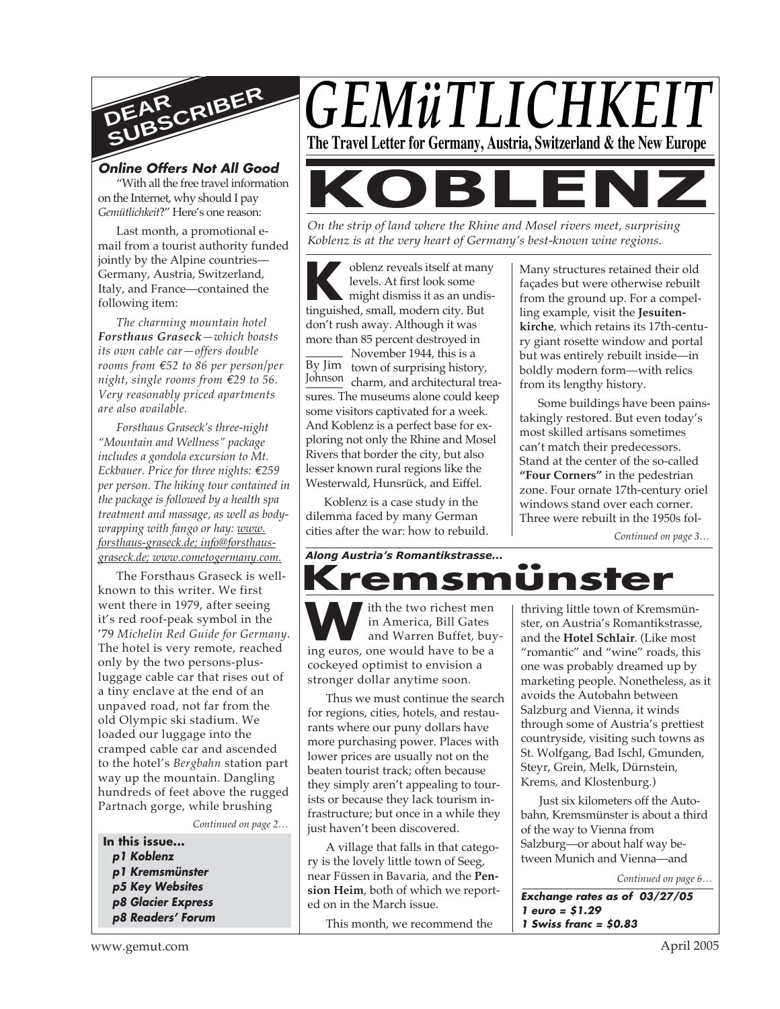

#### **Online Offers Not All Good** "With all the free travel information

on the Internet, why should I pay *Gemütlichkeit*?" Here's one reason:

Last month, a promotional email from a tourist authority funded jointly by the Alpine countries— Germany, Austria, Switzerland, Italy, and France—contained the following item:

*The charming mountain hotel Forsthaus Graseck—which boasts its own cable car—offers double rooms from €52 to 86 per person/per night, single rooms from €29 to 56. Very reasonably priced apartments are also available.*

*Forsthaus Graseck's three-night "Mountain and Wellness" package includes a gondola excursion to Mt. Eckbauer. Price for three nights: €259 per person. The hiking tour contained in the package is followed by a health spa treatment and massage, as well as bodywrapping with fango or hay: www. forsthaus-graseck.de; info@forsthausgraseck.de; www.cometogermany.com.*

The Forsthaus Graseck is wellknown to this writer. We first went there in 1979, after seeing it's red roof-peak symbol in the '79 *Michelin Red Guide for Germany*. The hotel is very remote, reached only by the two persons-plusluggage cable car that rises out of a tiny enclave at the end of an unpaved road, not far from the old Olympic ski stadium. We loaded our luggage into the cramped cable car and ascended to the hotel's *Bergbahn* station part way up the mountain. Dangling hundreds of feet above the rugged Partnach gorge, while brushing

*Continued on page 2…*

**In this issue... p1 Koblenz p1 Kremsmünster p5 Key Websites p8 Glacier Express p8 Readers' Forum**



*On the strip of land where the Rhine and Mosel rivers meet, surprising Koblenz is at the very heart of Germany's best-known wine regions.*

**K** oblenz reveals itself at mar<br>
levels. At first look some<br>
might dismiss it as an undi<br>
tinguished, small, modern city. But oblenz reveals itself at many levels. At first look some might dismiss it as an undisdon't rush away. Although it was more than 85 percent destroyed in

By Jim town of surprising history, Johnson charm, and architectural trea-November 1944, this is a sures. The museums alone could keep some visitors captivated for a week. And Koblenz is a perfect base for exploring not only the Rhine and Mosel Rivers that border the city, but also lesser known rural regions like the Westerwald, Hunsrück, and Eiffel.

Koblenz is a case study in the dilemma faced by many German cities after the war: how to rebuild. Many structures retained their old façades but were otherwise rebuilt from the ground up. For a compelling example, visit the **Jesuitenkirche**, which retains its 17th-century giant rosette window and portal but was entirely rebuilt inside—in boldly modern form—with relics from its lengthy history.

Some buildings have been painstakingly restored. But even today's most skilled artisans sometimes can't match their predecessors. Stand at the center of the so-called **"Four Corners"** in the pedestrian zone. Four ornate 17th-century oriel windows stand over each corner. Three were rebuilt in the 1950s fol-

*Continued on page 3…*

*Along Austria's Romantikstrasse...* **Kremsmünster**

**W**ith the two richest men<br>
in America, Bill Gates<br>
and Warren Buffet, buy<br>
ing euros, one would have to be a ith the two richest men in America, Bill Gates and Warren Buffet, buycockeyed optimist to envision a stronger dollar anytime soon.

Thus we must continue the search for regions, cities, hotels, and restaurants where our puny dollars have more purchasing power. Places with lower prices are usually not on the beaten tourist track; often because they simply aren't appealing to tourists or because they lack tourism infrastructure; but once in a while they just haven't been discovered.

A village that falls in that category is the lovely little town of Seeg, near Füssen in Bavaria, and the **Pension Heim**, both of which we reported on in the March issue.

This month, we recommend the

thriving little town of Kremsmünster, on Austria's Romantikstrasse, and the **Hotel Schlair**. (Like most "romantic" and "wine" roads, this one was probably dreamed up by marketing people. Nonetheless, as it avoids the Autobahn between Salzburg and Vienna, it winds through some of Austria's prettiest countryside, visiting such towns as St. Wolfgang, Bad Ischl, Gmunden, Steyr, Grein, Melk, Dürnstein, Krems, and Klostenburg.)

Just six kilometers off the Autobahn, Kremsmünster is about a third of the way to Vienna from Salzburg—or about half way between Munich and Vienna—and

*Continued on page 6…*

**Exchange rates as of 03/27/05 1 euro = \$1.29 1 Swiss franc = \$0.83**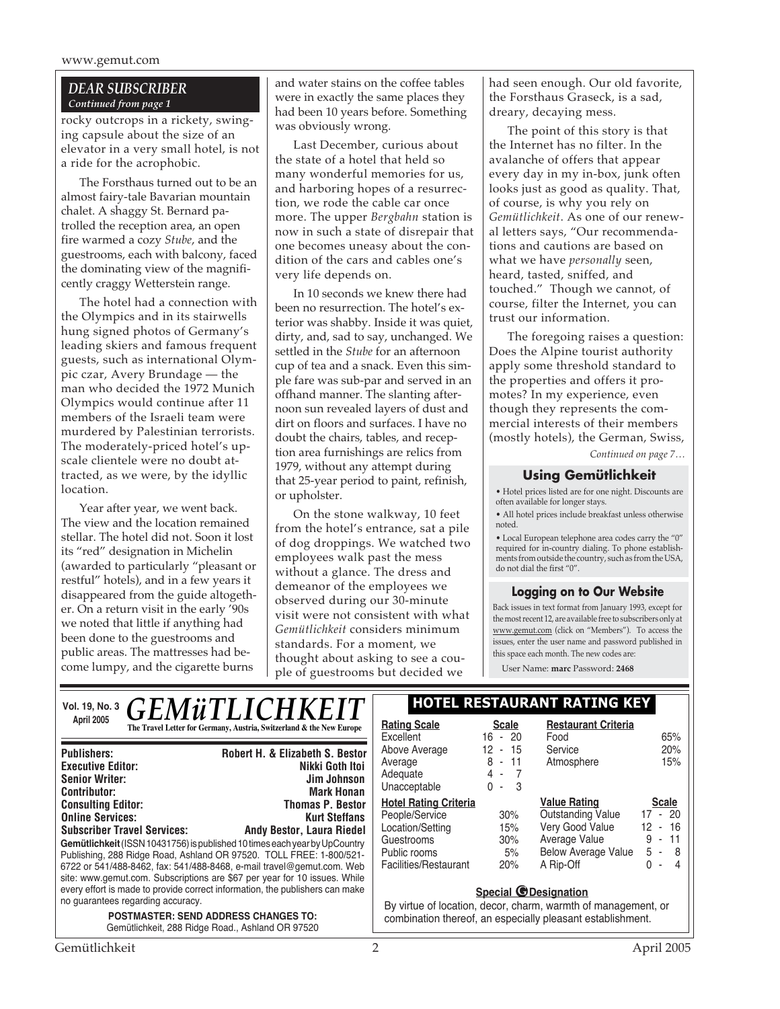#### *DEAR SUBSCRIBER Continued from page 1*

rocky outcrops in a rickety, swinging capsule about the size of an elevator in a very small hotel, is not a ride for the acrophobic.

The Forsthaus turned out to be an almost fairy-tale Bavarian mountain chalet. A shaggy St. Bernard patrolled the reception area, an open fire warmed a cozy *Stube*, and the guestrooms, each with balcony, faced the dominating view of the magnificently craggy Wetterstein range.

The hotel had a connection with the Olympics and in its stairwells hung signed photos of Germany's leading skiers and famous frequent guests, such as international Olympic czar, Avery Brundage — the man who decided the 1972 Munich Olympics would continue after 11 members of the Israeli team were murdered by Palestinian terrorists. The moderately-priced hotel's upscale clientele were no doubt attracted, as we were, by the idyllic location.

Year after year, we went back. The view and the location remained stellar. The hotel did not. Soon it lost its "red" designation in Michelin (awarded to particularly "pleasant or restful" hotels), and in a few years it disappeared from the guide altogether. On a return visit in the early '90s we noted that little if anything had been done to the guestrooms and public areas. The mattresses had become lumpy, and the cigarette burns

and water stains on the coffee tables were in exactly the same places they had been 10 years before. Something was obviously wrong.

Last December, curious about the state of a hotel that held so many wonderful memories for us, and harboring hopes of a resurrection, we rode the cable car once more. The upper *Bergbahn* station is now in such a state of disrepair that one becomes uneasy about the condition of the cars and cables one's very life depends on.

In 10 seconds we knew there had been no resurrection. The hotel's exterior was shabby. Inside it was quiet, dirty, and, sad to say, unchanged. We settled in the *Stube* for an afternoon cup of tea and a snack. Even this simple fare was sub-par and served in an offhand manner. The slanting afternoon sun revealed layers of dust and dirt on floors and surfaces. I have no doubt the chairs, tables, and reception area furnishings are relics from 1979, without any attempt during that 25-year period to paint, refinish, or upholster.

On the stone walkway, 10 feet from the hotel's entrance, sat a pile of dog droppings. We watched two employees walk past the mess without a glance. The dress and demeanor of the employees we observed during our 30-minute visit were not consistent with what *Gemütlichkeit* considers minimum standards. For a moment, we thought about asking to see a couple of guestrooms but decided we

had seen enough. Our old favorite, the Forsthaus Graseck, is a sad, dreary, decaying mess.

The point of this story is that the Internet has no filter. In the avalanche of offers that appear every day in my in-box, junk often looks just as good as quality. That, of course, is why you rely on *Gemütlichkeit*. As one of our renewal letters says, "Our recommendations and cautions are based on what we have *personally* seen, heard, tasted, sniffed, and touched." Though we cannot, of course, filter the Internet, you can trust our information.

The foregoing raises a question: Does the Alpine tourist authority apply some threshold standard to the properties and offers it promotes? In my experience, even though they represents the commercial interests of their members (mostly hotels), the German, Swiss,

*Continued on page 7…*

#### **Using Gemütlichkeit**

• Hotel prices listed are for one night. Discounts are often available for longer stays.

• All hotel prices include breakfast unless otherwise noted.

• Local European telephone area codes carry the "0" required for in-country dialing. To phone establishments from outside the country, such as from the USA, do not dial the first "0".

#### **Logging on to Our Website**

Back issues in text format from January 1993, except for the most recent 12, are available free to subscribers only at www.gemut.com (click on "Members"). To access the issues, enter the user name and password published in this space each month. The new codes are:

User Name: **marc** Password: **2468**

| <b>GEMÜTLICHKEIT</b><br>Vol. 19, No. 3                                                                                                                                                         | <b>HOTEL RESTAURANT RATING KEY</b>                                                                                                                         |                               |                                                 |                                                                            |
|------------------------------------------------------------------------------------------------------------------------------------------------------------------------------------------------|------------------------------------------------------------------------------------------------------------------------------------------------------------|-------------------------------|-------------------------------------------------|----------------------------------------------------------------------------|
| April 2005<br>The Travel Letter for Germany, Austria, Switzerland & the New Europe                                                                                                             | <b>Rating Scale</b><br>Excellent                                                                                                                           | <b>Scale</b><br>$16 - 20$     | <b>Restaurant Criteria</b><br>Food              | 65%                                                                        |
| <b>Robert H. &amp; Elizabeth S. Bestor</b><br><b>Publishers:</b>                                                                                                                               | Above Average<br>Average                                                                                                                                   | 12 - 15<br>$8 - 11$           | Service<br>Atmosphere                           | 20%<br>15%                                                                 |
| <b>Executive Editor:</b><br>Nikki Goth Itoi<br><b>Senior Writer:</b><br>Jim Johnson                                                                                                            | Adequate                                                                                                                                                   | 4<br>$\overline{\phantom{a}}$ |                                                 |                                                                            |
| <b>Mark Honan</b><br><b>Contributor:</b>                                                                                                                                                       | Unacceptable                                                                                                                                               | 0<br>-3<br>$\sim$             |                                                 |                                                                            |
| <b>Consulting Editor:</b><br><b>Thomas P. Bestor</b><br><b>Online Services:</b><br><b>Kurt Steffans</b>                                                                                        | <b>Hotel Rating Criteria</b><br>People/Service                                                                                                             | 30%                           | <b>Value Rating</b><br><b>Outstanding Value</b> | <b>Scale</b><br>17 - 20                                                    |
| <b>Subscriber Travel Services:</b><br><b>Andy Bestor, Laura Riedel</b>                                                                                                                         | Location/Setting                                                                                                                                           | 15%                           | Very Good Value                                 | 16<br>12<br>$\sim$                                                         |
| Gemütlichkeit (ISSN 10431756) is published 10 times each year by UpCountry<br>Publishing, 288 Ridge Road, Ashland OR 97520. TOLL FREE: 1-800/521-                                              | Guestrooms<br>Public rooms                                                                                                                                 | 30%<br>5%                     | Average Value<br><b>Below Average Value</b>     | 9<br>11<br>$\overline{\phantom{a}}$<br>5<br>-8<br>$\overline{\phantom{a}}$ |
| 6722 or 541/488-8462, fax: 541/488-8468, e-mail travel@gemut.com. Web                                                                                                                          | Facilities/Restaurant                                                                                                                                      | 20%                           | A Rip-Off                                       | 4<br>0<br>$\overline{\phantom{a}}$                                         |
| site: www.gemut.com. Subscriptions are \$67 per year for 10 issues. While<br>every effort is made to provide correct information, the publishers can make<br>no guarantees regarding accuracy. | <b>Special @Designation</b><br>By virtue of location, decor, charm, warmth of management, or<br>combination thereof, an especially pleasant establishment. |                               |                                                 |                                                                            |
| <b>POSTMASTER: SEND ADDRESS CHANGES TO:</b><br>Gemütlichkeit, 288 Ridge Road., Ashland OR 97520                                                                                                |                                                                                                                                                            |                               |                                                 |                                                                            |
| Gemütlichkeit                                                                                                                                                                                  | $\overline{2}$                                                                                                                                             |                               |                                                 | April 2005                                                                 |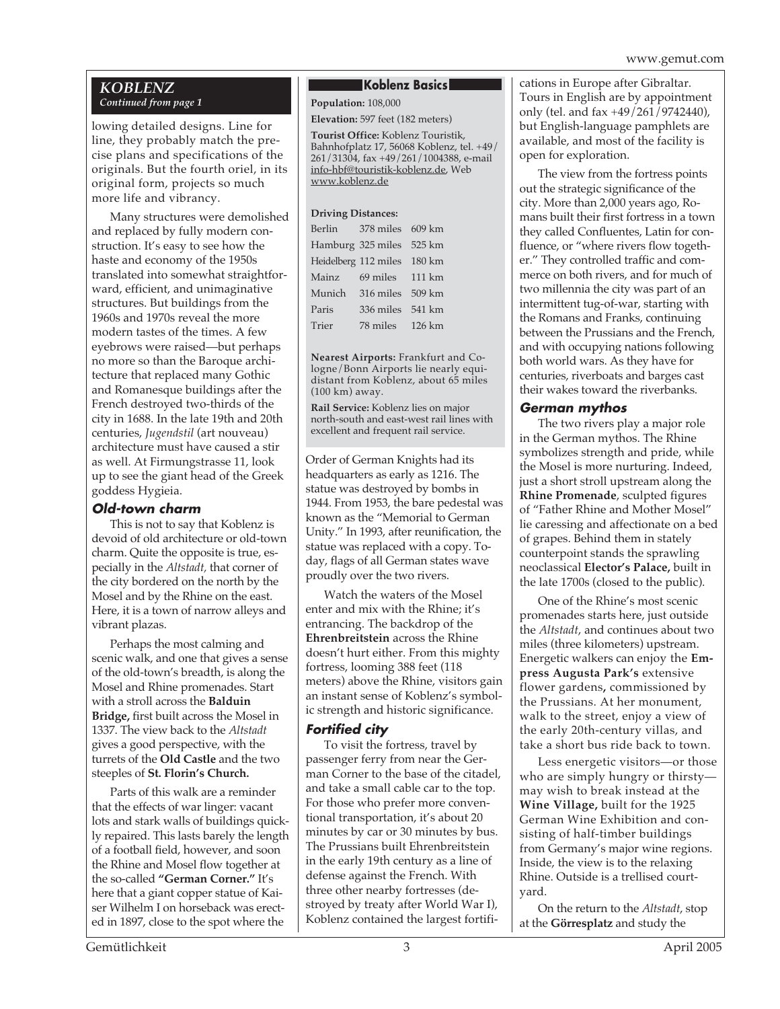#### www.gemut.com

#### *KOBLENZ Continued from page 1*

lowing detailed designs. Line for line, they probably match the precise plans and specifications of the originals. But the fourth oriel, in its original form, projects so much more life and vibrancy.

Many structures were demolished and replaced by fully modern construction. It's easy to see how the haste and economy of the 1950s translated into somewhat straightforward, efficient, and unimaginative structures. But buildings from the 1960s and 1970s reveal the more modern tastes of the times. A few eyebrows were raised—but perhaps no more so than the Baroque architecture that replaced many Gothic and Romanesque buildings after the French destroyed two-thirds of the city in 1688. In the late 19th and 20th centuries, *Jugendstil* (art nouveau) architecture must have caused a stir as well. At Firmungstrasse 11, look up to see the giant head of the Greek goddess Hygieia.

#### **Old-town charm**

This is not to say that Koblenz is devoid of old architecture or old-town charm. Quite the opposite is true, especially in the *Altstadt,* that corner of the city bordered on the north by the Mosel and by the Rhine on the east. Here, it is a town of narrow alleys and vibrant plazas.

Perhaps the most calming and scenic walk, and one that gives a sense of the old-town's breadth, is along the Mosel and Rhine promenades. Start with a stroll across the **Balduin Bridge,** first built across the Mosel in 1337. The view back to the *Altstadt* gives a good perspective, with the turrets of the **Old Castle** and the two steeples of **St. Florin's Church.**

Parts of this walk are a reminder that the effects of war linger: vacant lots and stark walls of buildings quickly repaired. This lasts barely the length of a football field, however, and soon the Rhine and Mosel flow together at the so-called **"German Corner."** It's here that a giant copper statue of Kaiser Wilhelm I on horseback was erected in 1897, close to the spot where the

#### **Koblenz Basics**

**Population:** 108,000

**Elevation:** 597 feet (182 meters)

**Tourist Office:** Koblenz Touristik, Bahnhofplatz 17, 56068 Koblenz, tel. +49/ 261/31304, fax +49/261/1004388, e-mail info-hbf@touristik-koblenz.de, Web www.koblenz.de

#### **Driving Distances:**

| Berlin | 378 miles 609 km            |  |
|--------|-----------------------------|--|
|        | Hamburg 325 miles 525 km    |  |
|        | Heidelberg 112 miles 180 km |  |
| Mainz. | $69$ miles $111$ km         |  |
| Munich | 316 miles 509 km            |  |
| Paris  | 336 miles 541 km            |  |
| Trier  | 78 miles 126 km             |  |

**Nearest Airports:** Frankfurt and Cologne/Bonn Airports lie nearly equidistant from Koblenz, about 65 miles (100 km) away.

**Rail Service:** Koblenz lies on major north-south and east-west rail lines with excellent and frequent rail service.

Order of German Knights had its headquarters as early as 1216. The statue was destroyed by bombs in 1944. From 1953, the bare pedestal was known as the "Memorial to German Unity." In 1993, after reunification, the statue was replaced with a copy. Today, flags of all German states wave proudly over the two rivers.

Watch the waters of the Mosel enter and mix with the Rhine; it's entrancing. The backdrop of the **Ehrenbreitstein** across the Rhine doesn't hurt either. From this mighty fortress, looming 388 feet (118 meters) above the Rhine, visitors gain an instant sense of Koblenz's symbolic strength and historic significance.

#### **Fortified city**

To visit the fortress, travel by passenger ferry from near the German Corner to the base of the citadel, and take a small cable car to the top. For those who prefer more conventional transportation, it's about 20 minutes by car or 30 minutes by bus. The Prussians built Ehrenbreitstein in the early 19th century as a line of defense against the French. With three other nearby fortresses (destroyed by treaty after World War I), Koblenz contained the largest fortifi-

cations in Europe after Gibraltar. Tours in English are by appointment only (tel. and fax +49/261/9742440), but English-language pamphlets are available, and most of the facility is open for exploration.

The view from the fortress points out the strategic significance of the city. More than 2,000 years ago, Romans built their first fortress in a town they called Confluentes, Latin for confluence, or "where rivers flow together." They controlled traffic and commerce on both rivers, and for much of two millennia the city was part of an intermittent tug-of-war, starting with the Romans and Franks, continuing between the Prussians and the French, and with occupying nations following both world wars. As they have for centuries, riverboats and barges cast their wakes toward the riverbanks.

#### **German mythos**

The two rivers play a major role in the German mythos. The Rhine symbolizes strength and pride, while the Mosel is more nurturing. Indeed, just a short stroll upstream along the **Rhine Promenade**, sculpted figures of "Father Rhine and Mother Mosel" lie caressing and affectionate on a bed of grapes. Behind them in stately counterpoint stands the sprawling neoclassical **Elector's Palace,** built in the late 1700s (closed to the public).

One of the Rhine's most scenic promenades starts here, just outside the *Altstadt*, and continues about two miles (three kilometers) upstream. Energetic walkers can enjoy the **Empress Augusta Park's** extensive flower gardens**,** commissioned by the Prussians. At her monument, walk to the street, enjoy a view of the early 20th-century villas, and take a short bus ride back to town.

Less energetic visitors—or those who are simply hungry or thirsty may wish to break instead at the **Wine Village,** built for the 1925 German Wine Exhibition and consisting of half-timber buildings from Germany's major wine regions. Inside, the view is to the relaxing Rhine. Outside is a trellised courtyard.

On the return to the *Altstadt*, stop at the **Görresplatz** and study the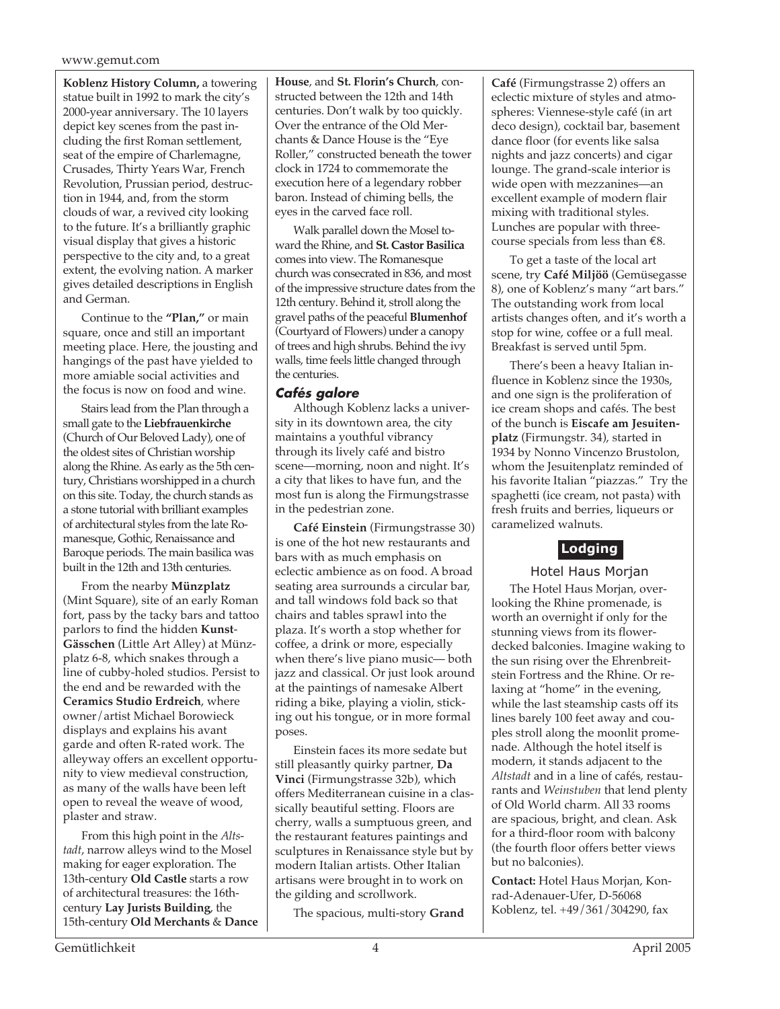#### www.gemut.com

**Koblenz History Column,** a towering statue built in 1992 to mark the city's 2000-year anniversary. The 10 layers depict key scenes from the past including the first Roman settlement, seat of the empire of Charlemagne, Crusades, Thirty Years War, French Revolution, Prussian period, destruction in 1944, and, from the storm clouds of war, a revived city looking to the future. It's a brilliantly graphic visual display that gives a historic perspective to the city and, to a great extent, the evolving nation. A marker gives detailed descriptions in English and German.

Continue to the **"Plan,"** or main square, once and still an important meeting place. Here, the jousting and hangings of the past have yielded to more amiable social activities and the focus is now on food and wine.

Stairs lead from the Plan through a small gate to the **Liebfrauenkirche** (Church of Our Beloved Lady), one of the oldest sites of Christian worship along the Rhine. As early as the 5th century, Christians worshipped in a church on this site. Today, the church stands as a stone tutorial with brilliant examples of architectural styles from the late Romanesque, Gothic, Renaissance and Baroque periods. The main basilica was built in the 12th and 13th centuries.

From the nearby **Münzplatz** (Mint Square), site of an early Roman fort, pass by the tacky bars and tattoo parlors to find the hidden **Kunst**-**Gässchen** (Little Art Alley) at Münzplatz 6-8, which snakes through a line of cubby-holed studios. Persist to the end and be rewarded with the **Ceramics Studio Erdreich**, where owner/artist Michael Borowieck displays and explains his avant garde and often R-rated work. The alleyway offers an excellent opportunity to view medieval construction, as many of the walls have been left open to reveal the weave of wood, plaster and straw.

From this high point in the *Altstadt*, narrow alleys wind to the Mosel making for eager exploration. The 13th-century **Old Castle** starts a row of architectural treasures: the 16thcentury **Lay Jurists Building**, the 15th-century **Old Merchants** & **Dance** **House**, and **St. Florin's Church**, constructed between the 12th and 14th centuries. Don't walk by too quickly. Over the entrance of the Old Merchants & Dance House is the "Eye Roller," constructed beneath the tower clock in 1724 to commemorate the execution here of a legendary robber baron. Instead of chiming bells, the eyes in the carved face roll.

Walk parallel down the Mosel toward the Rhine, and **St. Castor Basilica** comes into view. The Romanesque church was consecrated in 836, and most of the impressive structure dates from the 12th century. Behind it, stroll along the gravel paths of the peaceful **Blumenhof** (Courtyard of Flowers) under a canopy of trees and high shrubs. Behind the ivy walls, time feels little changed through the centuries.

#### **Cafés galore**

Although Koblenz lacks a university in its downtown area, the city maintains a youthful vibrancy through its lively café and bistro scene—morning, noon and night. It's a city that likes to have fun, and the most fun is along the Firmungstrasse in the pedestrian zone.

**Café Einstein** (Firmungstrasse 30) is one of the hot new restaurants and bars with as much emphasis on eclectic ambience as on food. A broad seating area surrounds a circular bar, and tall windows fold back so that chairs and tables sprawl into the plaza. It's worth a stop whether for coffee, a drink or more, especially when there's live piano music— both jazz and classical. Or just look around at the paintings of namesake Albert riding a bike, playing a violin, sticking out his tongue, or in more formal poses.

Einstein faces its more sedate but still pleasantly quirky partner, **Da Vinci** (Firmungstrasse 32b), which offers Mediterranean cuisine in a classically beautiful setting. Floors are cherry, walls a sumptuous green, and the restaurant features paintings and sculptures in Renaissance style but by modern Italian artists. Other Italian artisans were brought in to work on the gilding and scrollwork.

The spacious, multi-story **Grand**

**Café** (Firmungstrasse 2) offers an eclectic mixture of styles and atmospheres: Viennese-style café (in art deco design), cocktail bar, basement dance floor (for events like salsa nights and jazz concerts) and cigar lounge. The grand-scale interior is wide open with mezzanines—an excellent example of modern flair mixing with traditional styles. Lunches are popular with threecourse specials from less than  $€8$ .

To get a taste of the local art scene, try **Café Miljöö** (Gemüsegasse 8), one of Koblenz's many "art bars." The outstanding work from local artists changes often, and it's worth a stop for wine, coffee or a full meal. Breakfast is served until 5pm.

There's been a heavy Italian influence in Koblenz since the 1930s, and one sign is the proliferation of ice cream shops and cafés. The best of the bunch is **Eiscafe am Jesuitenplatz** (Firmungstr. 34), started in 1934 by Nonno Vincenzo Brustolon, whom the Jesuitenplatz reminded of his favorite Italian "piazzas." Try the spaghetti (ice cream, not pasta) with fresh fruits and berries, liqueurs or caramelized walnuts.

# **Lodging**

Hotel Haus Morjan

The Hotel Haus Morjan, overlooking the Rhine promenade, is worth an overnight if only for the stunning views from its flowerdecked balconies. Imagine waking to the sun rising over the Ehrenbreitstein Fortress and the Rhine. Or relaxing at "home" in the evening, while the last steamship casts off its lines barely 100 feet away and couples stroll along the moonlit promenade. Although the hotel itself is modern, it stands adjacent to the *Altstadt* and in a line of cafés, restaurants and *Weinstuben* that lend plenty of Old World charm. All 33 rooms are spacious, bright, and clean. Ask for a third-floor room with balcony (the fourth floor offers better views but no balconies).

**Contact:** Hotel Haus Morjan, Konrad-Adenauer-Ufer, D-56068 Koblenz, tel. +49/361/304290, fax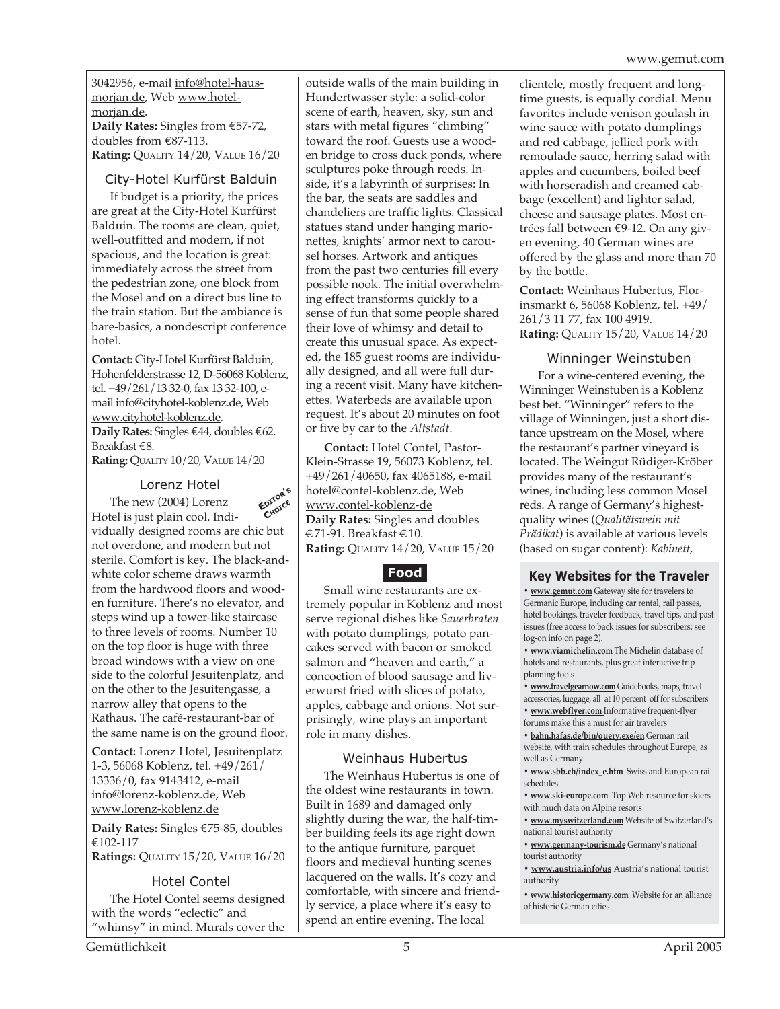3042956, e-mail info@hotel-hausmorjan.de, Web www.hotelmorjan.de.

**Daily Rates:** Singles from €57-72, doubles from €87-113. **Rating:** QUALITY 14/20, VALUE 16/20

#### City-Hotel Kurfürst Balduin

If budget is a priority, the prices are great at the City-Hotel Kurfürst Balduin. The rooms are clean, quiet, well-outfitted and modern, if not spacious, and the location is great: immediately across the street from the pedestrian zone, one block from the Mosel and on a direct bus line to the train station. But the ambiance is bare-basics, a nondescript conference hotel.

**Contact:** City-Hotel Kurfürst Balduin, Hohenfelderstrasse 12, D-56068 Koblenz, tel. +49/261/13 32-0, fax 13 32-100, email info@cityhotel-koblenz.de, Web www.cityhotel-koblenz.de. **Daily Rates:** Singles €44, doubles €62. Breakfast €8.

**Rating:** QUALITY 10/20, VALUE 14/20

#### Lorenz Hotel

The new (2004) Lorenz Hotel is just plain cool. Individually designed rooms are chic but not overdone, and modern but not sterile. Comfort is key. The black-andwhite color scheme draws warmth from the hardwood floors and wooden furniture. There's no elevator, and steps wind up a tower-like staircase to three levels of rooms. Number 10 on the top floor is huge with three broad windows with a view on one side to the colorful Jesuitenplatz, and on the other to the Jesuitengasse, a narrow alley that opens to the Rathaus. The café-restaurant-bar of the same name is on the ground floor. **EDITOR'<sup>S</sup> CHOICE**

**Contact:** Lorenz Hotel, Jesuitenplatz 1-3, 56068 Koblenz, tel. +49/261/ 13336/0, fax 9143412, e-mail info@lorenz-koblenz.de, Web www.lorenz-koblenz.de

**Daily Rates:** Singles €75-85, doubles €102-117 **Ratings:** QUALITY 15/20, VALUE 16/20

#### Hotel Contel

The Hotel Contel seems designed with the words "eclectic" and "whimsy" in mind. Murals cover the outside walls of the main building in Hundertwasser style: a solid-color scene of earth, heaven, sky, sun and stars with metal figures "climbing" toward the roof. Guests use a wooden bridge to cross duck ponds, where sculptures poke through reeds. Inside, it's a labyrinth of surprises: In the bar, the seats are saddles and chandeliers are traffic lights. Classical statues stand under hanging marionettes, knights' armor next to carousel horses. Artwork and antiques from the past two centuries fill every possible nook. The initial overwhelming effect transforms quickly to a sense of fun that some people shared their love of whimsy and detail to create this unusual space. As expected, the 185 guest rooms are individually designed, and all were full during a recent visit. Many have kitchenettes. Waterbeds are available upon request. It's about 20 minutes on foot or five by car to the *Altstadt*.

**Contact:** Hotel Contel, Pastor-Klein-Strasse 19, 56073 Koblenz, tel. +49/261/40650, fax 4065188, e-mail hotel@contel-koblenz.de, Web www.contel-koblenz-de **Daily Rates:** Singles and doubles  $€71-91.$  Breakfast  $€10.$ **Rating:** QUALITY 14/20, VALUE 15/20

# **Food**

Small wine restaurants are extremely popular in Koblenz and most serve regional dishes like *Sauerbraten* with potato dumplings, potato pancakes served with bacon or smoked salmon and "heaven and earth," a concoction of blood sausage and liverwurst fried with slices of potato, apples, cabbage and onions. Not surprisingly, wine plays an important role in many dishes.

#### Weinhaus Hubertus

The Weinhaus Hubertus is one of the oldest wine restaurants in town. Built in 1689 and damaged only slightly during the war, the half-timber building feels its age right down to the antique furniture, parquet floors and medieval hunting scenes lacquered on the walls. It's cozy and comfortable, with sincere and friendly service, a place where it's easy to spend an entire evening. The local

clientele, mostly frequent and longtime guests, is equally cordial. Menu favorites include venison goulash in wine sauce with potato dumplings and red cabbage, jellied pork with remoulade sauce, herring salad with apples and cucumbers, boiled beef with horseradish and creamed cabbage (excellent) and lighter salad, cheese and sausage plates. Most entrées fall between €9-12. On any given evening, 40 German wines are offered by the glass and more than 70 by the bottle.

**Contact:** Weinhaus Hubertus, Florinsmarkt 6, 56068 Koblenz, tel. +49/ 261/3 11 77, fax 100 4919. **Rating:** QUALITY 15/20, VALUE 14/20

#### Winninger Weinstuben

For a wine-centered evening, the Winninger Weinstuben is a Koblenz best bet. "Winninger" refers to the village of Winningen, just a short distance upstream on the Mosel, where the restaurant's partner vineyard is located. The Weingut Rüdiger-Kröber provides many of the restaurant's wines, including less common Mosel reds. A range of Germany's highestquality wines (*Qualitätswein mit Prädikat*) is available at various levels (based on sugar content): *Kabinett*,

#### **Key Websites for the Traveler**

**• www.gemut.com** Gateway site for travelers to Germanic Europe, including car rental, rail passes, hotel bookings, traveler feedback, travel tips, and past issues (free access to back issues for subscribers; see log-on info on page 2).

**• www.viamichelin.com** The Michelin database of hotels and restaurants, plus great interactive trip planning tools

**• www.travelgearnow.com** Guidebooks, maps, travel accessories, luggage, all at 10 percent off for subscribers

**• www.webflyer.com** Informative frequent-flyer forums make this a must for air travelers

**• bahn.hafas.de/bin/query.exe/en** German rail website, with train schedules throughout Europe, as well as Germany

**• www.sbb.ch/index\_e.htm** Swiss and European rail schedules

**• www.ski-europe.com** Top Web resource for skiers with much data on Alpine resorts

**• www.myswitzerland.com** Website of Switzerland's national tourist authority

**• www.germany-tourism.de** Germany's national tourist authority

**• www.austria.info/us** Austria's national tourist authority

**• www.historicgermany.com** Website for an alliance of historic German cities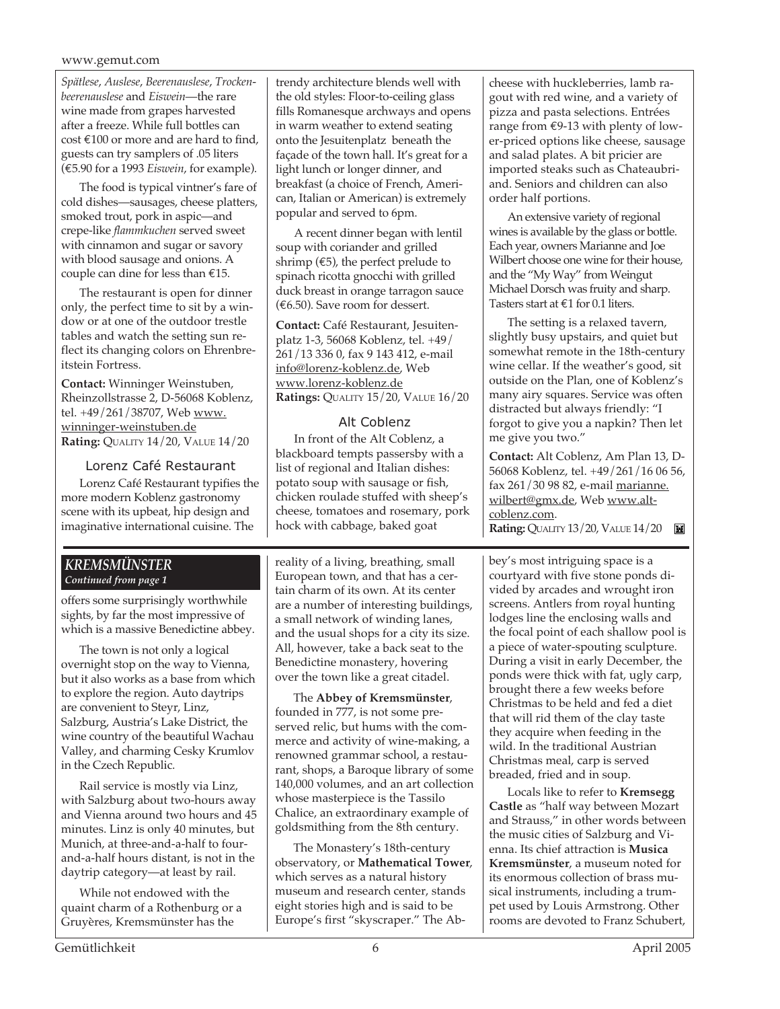#### www.gemut.com

*Spätlese*, *Auslese*, *Beerenauslese*, *Trockenbeerenauslese* and *Eiswein*—the rare wine made from grapes harvested after a freeze. While full bottles can cost €100 or more and are hard to find, guests can try samplers of .05 liters (€5.90 for a 1993 *Eiswein*, for example).

The food is typical vintner's fare of cold dishes—sausages, cheese platters, smoked trout, pork in aspic—and crepe-like *flammkuchen* served sweet with cinnamon and sugar or savory with blood sausage and onions. A couple can dine for less than €15.

The restaurant is open for dinner only, the perfect time to sit by a window or at one of the outdoor trestle tables and watch the setting sun reflect its changing colors on Ehrenbreitstein Fortress.

**Contact:** Winninger Weinstuben, Rheinzollstrasse 2, D-56068 Koblenz, tel. +49/261/38707, Web www. winninger-weinstuben.de **Rating:** QUALITY 14/20, VALUE 14/20

#### Lorenz Café Restaurant

Lorenz Café Restaurant typifies the more modern Koblenz gastronomy scene with its upbeat, hip design and imaginative international cuisine. The

#### *KREMSMÜNSTER Continued from page 1*

offers some surprisingly worthwhile sights, by far the most impressive of which is a massive Benedictine abbey.

The town is not only a logical overnight stop on the way to Vienna, but it also works as a base from which to explore the region. Auto daytrips are convenient to Steyr, Linz, Salzburg, Austria's Lake District, the wine country of the beautiful Wachau Valley, and charming Cesky Krumlov in the Czech Republic.

Rail service is mostly via Linz, with Salzburg about two-hours away and Vienna around two hours and 45 minutes. Linz is only 40 minutes, but Munich, at three-and-a-half to fourand-a-half hours distant, is not in the daytrip category—at least by rail.

While not endowed with the quaint charm of a Rothenburg or a Gruyères, Kremsmünster has the

trendy architecture blends well with the old styles: Floor-to-ceiling glass fills Romanesque archways and opens in warm weather to extend seating onto the Jesuitenplatz beneath the façade of the town hall. It's great for a light lunch or longer dinner, and breakfast (a choice of French, American, Italian or American) is extremely popular and served to 6pm.

A recent dinner began with lentil soup with coriander and grilled shrimp ( $\epsilon$ 5), the perfect prelude to spinach ricotta gnocchi with grilled duck breast in orange tarragon sauce (€6.50). Save room for dessert.

**Contact:** Café Restaurant, Jesuitenplatz 1-3, 56068 Koblenz, tel. +49/ 261/13 336 0, fax 9 143 412, e-mail info@lorenz-koblenz.de, Web www.lorenz-koblenz.de **Ratings:** QUALITY 15/20, VALUE 16/20

#### Alt Coblenz

In front of the Alt Coblenz, a blackboard tempts passersby with a list of regional and Italian dishes: potato soup with sausage or fish, chicken roulade stuffed with sheep's cheese, tomatoes and rosemary, pork hock with cabbage, baked goat

reality of a living, breathing, small European town, and that has a certain charm of its own. At its center are a number of interesting buildings, a small network of winding lanes, and the usual shops for a city its size. All, however, take a back seat to the Benedictine monastery, hovering over the town like a great citadel.

The **Abbey of Kremsmünster**, founded in 777, is not some preserved relic, but hums with the commerce and activity of wine-making, a renowned grammar school, a restaurant, shops, a Baroque library of some 140,000 volumes, and an art collection whose masterpiece is the Tassilo Chalice, an extraordinary example of goldsmithing from the 8th century.

The Monastery's 18th-century observatory, or **Mathematical Tower**, which serves as a natural history museum and research center, stands eight stories high and is said to be Europe's first "skyscraper." The Ab-

cheese with huckleberries, lamb ragout with red wine, and a variety of pizza and pasta selections. Entrées range from €9-13 with plenty of lower-priced options like cheese, sausage and salad plates. A bit pricier are imported steaks such as Chateaubriand. Seniors and children can also order half portions.

An extensive variety of regional wines is available by the glass or bottle. Each year, owners Marianne and Joe Wilbert choose one wine for their house, and the "My Way" from Weingut Michael Dorsch was fruity and sharp. Tasters start at  $\epsilon$ 1 for 0.1 liters.

The setting is a relaxed tavern, slightly busy upstairs, and quiet but somewhat remote in the 18th-century wine cellar. If the weather's good, sit outside on the Plan, one of Koblenz's many airy squares. Service was often distracted but always friendly: "I forgot to give you a napkin? Then let me give you two."

**Contact:** Alt Coblenz, Am Plan 13, D-56068 Koblenz, tel. +49/261/16 06 56, fax 261/30 98 82, e-mail marianne. wilbert@gmx.de, Web www.altcoblenz.com. **Rating: QUALITY 13/20, VALUE 14/20** 

bey's most intriguing space is a courtyard with five stone ponds divided by arcades and wrought iron screens. Antlers from royal hunting lodges line the enclosing walls and the focal point of each shallow pool is a piece of water-spouting sculpture. During a visit in early December, the ponds were thick with fat, ugly carp, brought there a few weeks before Christmas to be held and fed a diet that will rid them of the clay taste they acquire when feeding in the wild. In the traditional Austrian Christmas meal, carp is served breaded, fried and in soup.

Locals like to refer to **Kremsegg Castle** as "half way between Mozart and Strauss," in other words between the music cities of Salzburg and Vienna. Its chief attraction is **Musica Kremsmünster**, a museum noted for its enormous collection of brass musical instruments, including a trumpet used by Louis Armstrong. Other rooms are devoted to Franz Schubert,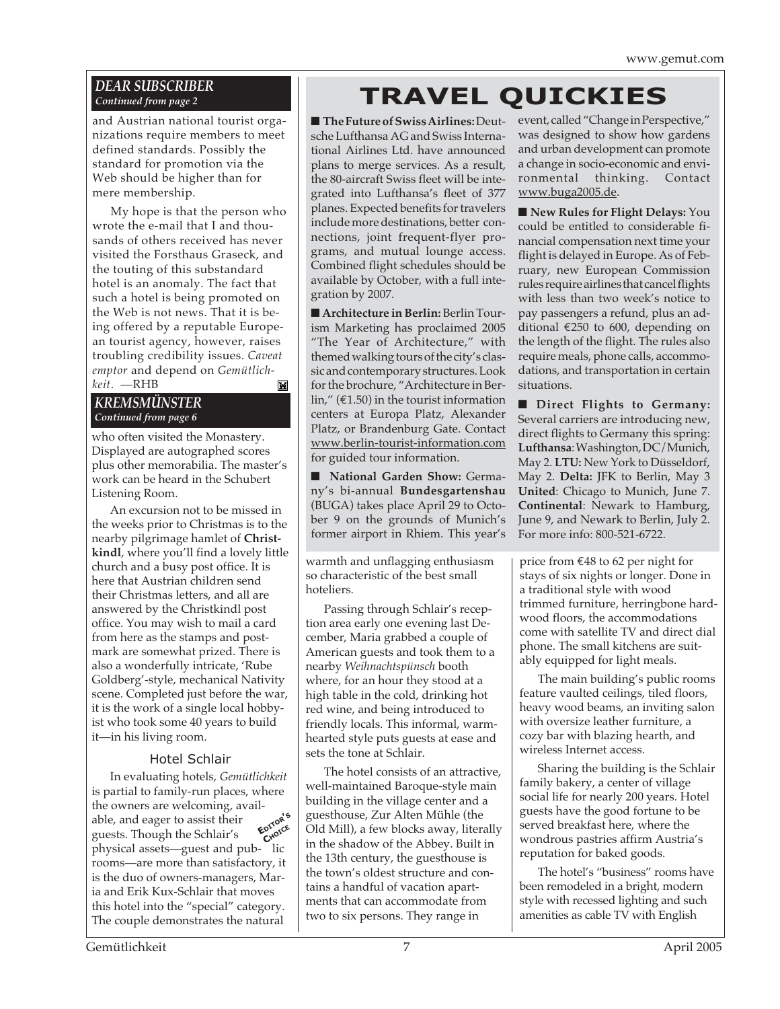## *DEAR SUBSCRIBER Continued from page 2*

and Austrian national tourist organizations require members to meet defined standards. Possibly the standard for promotion via the Web should be higher than for mere membership.

My hope is that the person who wrote the e-mail that I and thousands of others received has never visited the Forsthaus Graseck, and the touting of this substandard hotel is an anomaly. The fact that such a hotel is being promoted on the Web is not news. That it is being offered by a reputable European tourist agency, however, raises troubling credibility issues. *Caveat emptor* and depend on *Gemütlichkeit*. —RHB Ш

## *KREMSMÜNSTER Continued from page 6*

who often visited the Monastery. Displayed are autographed scores plus other memorabilia. The master's work can be heard in the Schubert Listening Room.

An excursion not to be missed in the weeks prior to Christmas is to the nearby pilgrimage hamlet of **Christkindl**, where you'll find a lovely little church and a busy post office. It is here that Austrian children send their Christmas letters, and all are answered by the Christkindl post office. You may wish to mail a card from here as the stamps and postmark are somewhat prized. There is also a wonderfully intricate, 'Rube Goldberg'-style, mechanical Nativity scene. Completed just before the war, it is the work of a single local hobbyist who took some 40 years to build it—in his living room.

### Hotel Schlair

In evaluating hotels, *Gemütlichkeit* is partial to family-run places, where the owners are welcoming, available, and eager to assist their guests. Though the Schlair's physical assets—guest and pub- lic rooms—are more than satisfactory, it is the duo of owners-managers, Maria and Erik Kux-Schlair that moves this hotel into the "special" category. The couple demonstrates the natural **EDITOR'<sup>S</sup> CHOICE**

# **TRAVEL QUICKIES**

■ **The Future of Swiss Airlines: Deut**sche Lufthansa AG and Swiss International Airlines Ltd. have announced plans to merge services. As a result, the 80-aircraft Swiss fleet will be integrated into Lufthansa's fleet of 377 planes. Expected benefits for travelers include more destinations, better connections, joint frequent-flyer programs, and mutual lounge access. Combined flight schedules should be available by October, with a full integration by 2007.

■ **Architecture in Berlin: Berlin Tour**ism Marketing has proclaimed 2005 "The Year of Architecture," with themed walking tours of the city's classic and contemporary structures. Look for the brochure, "Architecture in Berlin," ( $\epsilon$ 1.50) in the tourist information centers at Europa Platz, Alexander Platz, or Brandenburg Gate. Contact www.berlin-tourist-information.com for guided tour information.

■ **National Garden Show: Germa**ny's bi-annual **Bundesgartenshau** (BUGA) takes place April 29 to October 9 on the grounds of Munich's former airport in Rhiem. This year's

warmth and unflagging enthusiasm so characteristic of the best small hoteliers.

Passing through Schlair's reception area early one evening last December, Maria grabbed a couple of American guests and took them to a nearby *Weihnachtspünsch* booth where, for an hour they stood at a high table in the cold, drinking hot red wine, and being introduced to friendly locals. This informal, warmhearted style puts guests at ease and sets the tone at Schlair.

The hotel consists of an attractive, well-maintained Baroque-style main building in the village center and a guesthouse, Zur Alten Mühle (the Old Mill), a few blocks away, literally in the shadow of the Abbey. Built in the 13th century, the guesthouse is the town's oldest structure and contains a handful of vacation apartments that can accommodate from two to six persons. They range in

event, called "Change in Perspective," was designed to show how gardens and urban development can promote a change in socio-economic and environmental thinking. Contact www.buga2005.de.

■ **New Rules for Flight Delays: You** could be entitled to considerable financial compensation next time your flight is delayed in Europe. As of February, new European Commission rules require airlines that cancel flights with less than two week's notice to pay passengers a refund, plus an additional €250 to 600, depending on the length of the flight. The rules also require meals, phone calls, accommodations, and transportation in certain situations.

■ **Direct Flights to Germany:** Several carriers are introducing new, direct flights to Germany this spring: **Lufthansa**: Washington, DC/Munich, May 2. **LTU:** New York to Düsseldorf, May 2. **Delta:** JFK to Berlin, May 3 **United**: Chicago to Munich, June 7. **Continental**: Newark to Hamburg, June 9, and Newark to Berlin, July 2. For more info: 800-521-6722.

price from €48 to 62 per night for stays of six nights or longer. Done in a traditional style with wood trimmed furniture, herringbone hardwood floors, the accommodations come with satellite TV and direct dial phone. The small kitchens are suitably equipped for light meals.

The main building's public rooms feature vaulted ceilings, tiled floors, heavy wood beams, an inviting salon with oversize leather furniture, a cozy bar with blazing hearth, and wireless Internet access.

Sharing the building is the Schlair family bakery, a center of village social life for nearly 200 years. Hotel guests have the good fortune to be served breakfast here, where the wondrous pastries affirm Austria's reputation for baked goods.

The hotel's "business" rooms have been remodeled in a bright, modern style with recessed lighting and such amenities as cable TV with English